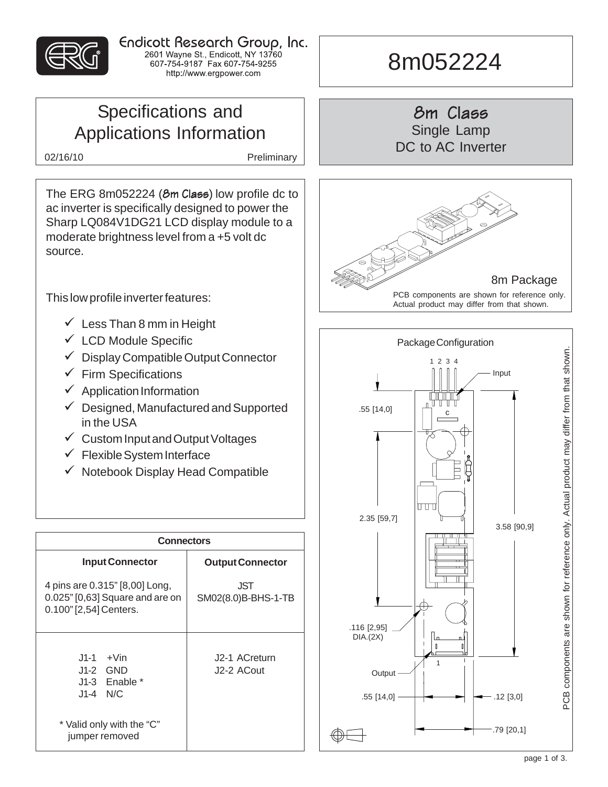

Endicott Research Group, Inc. 2601 Wayne St., Endicott, NY 13760<br>607-754-9187 Fax 607-754-9255 http://www.ergpower.com

## Specifications and Applications Information

02/16/10 Preliminary

The ERG 8m052224 (8m Class) low profile dc to ac inverter is specifically designed to power the Sharp LQ084V1DG21 LCD display module to a moderate brightness level from a +5 volt dc source.

This low profile inverter features:

- $\checkmark$  Less Than 8 mm in Height
- $\checkmark$  LCD Module Specific
- $\checkmark$  Display Compatible Output Connector
- $\checkmark$  Firm Specifications
- $\checkmark$  Application Information
- $\checkmark$  Designed, Manufactured and Supported in the USA
- $\checkmark$  Custom Input and Output Voltages
- $\checkmark$  Flexible System Interface
- $\checkmark$  Notebook Display Head Compatible

| <b>Connectors</b>                                                                           |                             |  |  |  |
|---------------------------------------------------------------------------------------------|-----------------------------|--|--|--|
| <b>Input Connector</b>                                                                      | <b>Output Connector</b>     |  |  |  |
| 4 pins are 0.315" [8,00] Long,<br>0.025" [0,63] Square and are on<br>0.100" [2,54] Centers. | .JST<br>SM02(8.0)B-BHS-1-TB |  |  |  |
| $J1-1 + V$ in<br>J1-2 GND<br>$J1-3$ Enable *<br>$J1-4$ N/C                                  | J2-1 ACreturn<br>J2-2 ACout |  |  |  |
| * Valid only with the "C"<br>jumper removed                                                 |                             |  |  |  |

# 8m052224

8m Class Single Lamp DC to AC Inverter



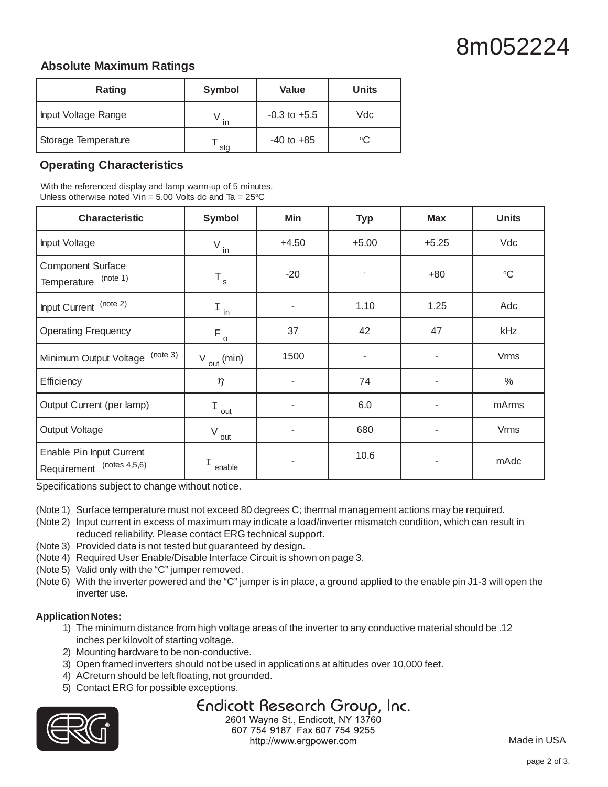# 8m052224

#### **Absolute Maximum Ratings**

| Rating              | Symbol | Value            | <b>Units</b> |
|---------------------|--------|------------------|--------------|
| Input Voltage Range | in     | $-0.3$ to $+5.5$ | Vdc          |
| Storage Temperature | sta    | $-40$ to $+85$   | °C           |

#### **Operating Characteristics**

With the referenced display and lamp warm-up of 5 minutes. Unless otherwise noted Vin =  $5.00$  Volts dc and Ta =  $25^{\circ}$ C

| <b>Characteristic</b>                                    | Symbol                        | Min     | <b>Typ</b> | <b>Max</b> | <b>Units</b>    |
|----------------------------------------------------------|-------------------------------|---------|------------|------------|-----------------|
| Input Voltage                                            | $V_{\underline{\mathsf{in}}}$ | $+4.50$ | $+5.00$    | $+5.25$    | Vdc             |
| <b>Component Surface</b><br>(note 1)<br>Temperature      | $\mathsf{T}_{\,\mathrm{s}}$   | $-20$   |            | $+80$      | $\rm ^{\circ}C$ |
| Input Current (note 2)                                   | $I_{in}$                      |         | 1.10       | 1.25       | Adc             |
| <b>Operating Frequency</b>                               | $F_{o}$                       | 37      | 42         | 47         | kHz             |
| (note 3)<br>Minimum Output Voltage                       | $V_{\text{out}}$ (min)        | 1500    | ٠          |            | <b>Vrms</b>     |
| Efficiency                                               | $\eta$                        |         | 74         |            | $\%$            |
| Output Current (per lamp)                                | I<br>out                      |         | 6.0        |            | mArms           |
| Output Voltage                                           | V<br>out                      |         | 680        |            | <b>Vrms</b>     |
| Enable Pin Input Current<br>(notes 4,5,6)<br>Requirement | Ι<br>enable                   |         | 10.6       |            | mAdc            |

Specifications subject to change without notice.

- (Note 1) Surface temperature must not exceed 80 degrees C; thermal management actions may be required.
- (Note 2) Input current in excess of maximum may indicate a load/inverter mismatch condition, which can result in reduced reliability. Please contact ERG technical support.
- (Note 3) Provided data is not tested but guaranteed by design.
- (Note 4) Required User Enable/Disable Interface Circuit is shown on page 3.
- (Note 5) Valid only with the "C" jumper removed.
- (Note 6) With the inverter powered and the "C" jumper is in place, a ground applied to the enable pin J1-3 will open the inverter use.

#### **Application Notes:**

- 1) The minimum distance from high voltage areas of the inverter to any conductive material should be .12 inches per kilovolt of starting voltage.
- 2) Mounting hardware to be non-conductive.
- 3) Open framed inverters should not be used in applications at altitudes over 10,000 feet.
- 4) ACreturn should be left floating, not grounded.
- 5) Contact ERG for possible exceptions.

### Endicott Research Group, Inc.



2601 Wayne St., Endicott, NY 13760 607-754-9187 Fax 607-754-9255 http://www.ergpower.com

Made in USA